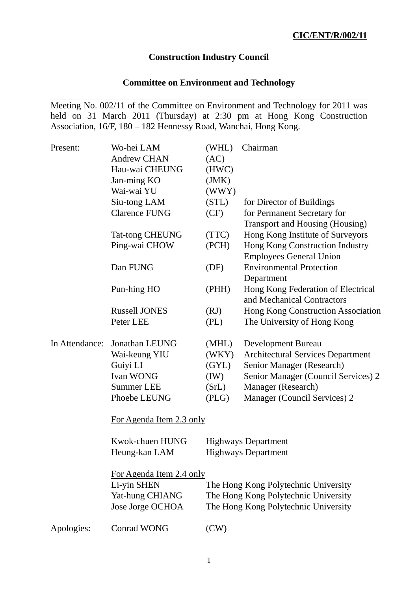## **Construction Industry Council**

# **Committee on Environment and Technology**

Meeting No. 002/11 of the Committee on Environment and Technology for 2011 was held on 31 March 2011 (Thursday) at 2:30 pm at Hong Kong Construction Association, 16/F, 180 – 182 Hennessy Road, Wanchai, Hong Kong.

| Present:       | Wo-hei LAM               | (WHL) | Chairman                                 |
|----------------|--------------------------|-------|------------------------------------------|
|                | <b>Andrew CHAN</b>       | (AC)  |                                          |
|                | Hau-wai CHEUNG           | (HWC) |                                          |
|                | Jan-ming KO              | (JMK) |                                          |
|                | Wai-wai YU               | (WWY) |                                          |
|                | Siu-tong LAM             | (STL) | for Director of Buildings                |
|                | <b>Clarence FUNG</b>     | (CF)  | for Permanent Secretary for              |
|                |                          |       | Transport and Housing (Housing)          |
|                | <b>Tat-tong CHEUNG</b>   | (TTC) | Hong Kong Institute of Surveyors         |
|                | Ping-wai CHOW            | (PCH) | Hong Kong Construction Industry          |
|                |                          |       | <b>Employees General Union</b>           |
|                | Dan FUNG                 | (DF)  | <b>Environmental Protection</b>          |
|                |                          |       | Department                               |
|                | Pun-hing HO              | (PHH) | Hong Kong Federation of Electrical       |
|                |                          |       | and Mechanical Contractors               |
|                | <b>Russell JONES</b>     | (RJ)  | Hong Kong Construction Association       |
|                | Peter LEE                | (PL)  | The University of Hong Kong              |
| In Attendance: | Jonathan LEUNG           | (MHL) | Development Bureau                       |
|                | Wai-keung YIU            | (WKY) | <b>Architectural Services Department</b> |
|                | Guiyi LI                 | (GYL) | Senior Manager (Research)                |
|                | Ivan WONG                | (IW)  | Senior Manager (Council Services) 2      |
|                | <b>Summer LEE</b>        | (SrL) | Manager (Research)                       |
|                | Phoebe LEUNG             | (PLG) | Manager (Council Services) 2             |
|                | For Agenda Item 2.3 only |       |                                          |
|                | Kwok-chuen HUNG          |       | <b>Highways Department</b>               |
|                | Heung-kan LAM            |       | <b>Highways Department</b>               |
|                | For Agenda Item 2.4 only |       |                                          |
|                | Li-yin SHEN              |       | The Hong Kong Polytechnic University     |
|                | Yat-hung CHIANG          |       | The Hong Kong Polytechnic University     |
|                | Jose Jorge OCHOA         |       | The Hong Kong Polytechnic University     |
| Apologies:     | <b>Conrad WONG</b>       | (CW)  |                                          |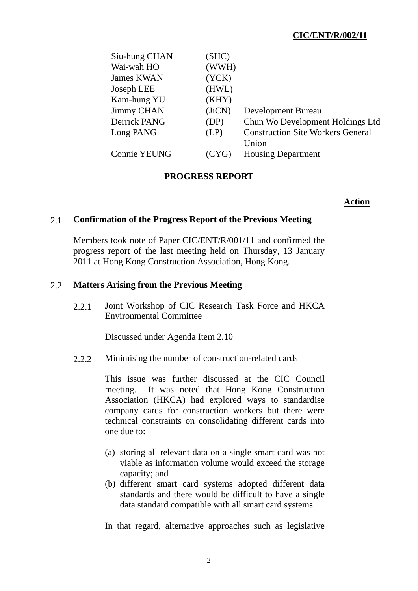# **CIC/ENT/R/002/11**

| Siu-hung CHAN       | (SHC)  |                                          |
|---------------------|--------|------------------------------------------|
| Wai-wah HO          | (WWH)  |                                          |
| <b>James KWAN</b>   | (YCK)  |                                          |
| Joseph LEE          | (HWL)  |                                          |
| Kam-hung YU         | (KHY)  |                                          |
| <b>Jimmy CHAN</b>   | (JiCN) | Development Bureau                       |
| <b>Derrick PANG</b> | (DP)   | Chun Wo Development Holdings Ltd         |
| Long PANG           | (LP)   | <b>Construction Site Workers General</b> |
|                     |        | Union                                    |
| <b>Connie YEUNG</b> | (CYG)  | <b>Housing Department</b>                |
|                     |        |                                          |

## **PROGRESS REPORT**

### **Action**

### 2.1 **Confirmation of the Progress Report of the Previous Meeting**

Members took note of Paper CIC/ENT/R/001/11 and confirmed the progress report of the last meeting held on Thursday, 13 January 2011 at Hong Kong Construction Association, Hong Kong.

### 2.2 **Matters Arising from the Previous Meeting**

2.2.1 Joint Workshop of CIC Research Task Force and HKCA Environmental Committee

Discussed under Agenda Item 2.10

2.2.2 Minimising the number of construction-related cards

This issue was further discussed at the CIC Council meeting. It was noted that Hong Kong Construction Association (HKCA) had explored ways to standardise company cards for construction workers but there were technical constraints on consolidating different cards into one due to:

- (a) storing all relevant data on a single smart card was not viable as information volume would exceed the storage capacity; and
- (b) different smart card systems adopted different data standards and there would be difficult to have a single data standard compatible with all smart card systems.

In that regard, alternative approaches such as legislative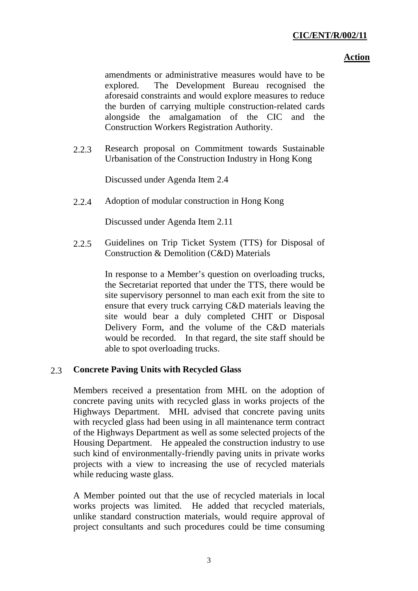amendments or administrative measures would have to be explored. The Development Bureau recognised the aforesaid constraints and would explore measures to reduce the burden of carrying multiple construction-related cards alongside the amalgamation of the CIC and the Construction Workers Registration Authority.

2.2.3 Research proposal on Commitment towards Sustainable Urbanisation of the Construction Industry in Hong Kong

Discussed under Agenda Item 2.4

2.2.4 Adoption of modular construction in Hong Kong

Discussed under Agenda Item 2.11

2.2.5 Guidelines on Trip Ticket System (TTS) for Disposal of Construction & Demolition (C&D) Materials

> In response to a Member's question on overloading trucks, the Secretariat reported that under the TTS, there would be site supervisory personnel to man each exit from the site to ensure that every truck carrying C&D materials leaving the site would bear a duly completed CHIT or Disposal Delivery Form, and the volume of the C&D materials would be recorded. In that regard, the site staff should be able to spot overloading trucks.

## 2.3 **Concrete Paving Units with Recycled Glass**

Members received a presentation from MHL on the adoption of concrete paving units with recycled glass in works projects of the Highways Department. MHL advised that concrete paving units with recycled glass had been using in all maintenance term contract of the Highways Department as well as some selected projects of the Housing Department. He appealed the construction industry to use such kind of environmentally-friendly paving units in private works projects with a view to increasing the use of recycled materials while reducing waste glass.

A Member pointed out that the use of recycled materials in local works projects was limited. He added that recycled materials, unlike standard construction materials, would require approval of project consultants and such procedures could be time consuming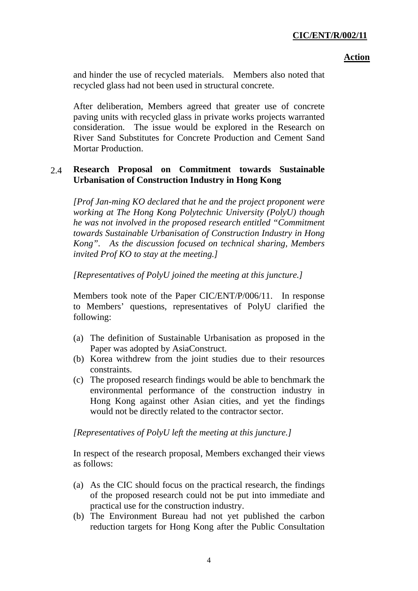and hinder the use of recycled materials. Members also noted that recycled glass had not been used in structural concrete.

After deliberation, Members agreed that greater use of concrete paving units with recycled glass in private works projects warranted consideration. The issue would be explored in the Research on River Sand Substitutes for Concrete Production and Cement Sand Mortar Production.

## 2.4 **Research Proposal on Commitment towards Sustainable Urbanisation of Construction Industry in Hong Kong**

*[Prof Jan-ming KO declared that he and the project proponent were working at The Hong Kong Polytechnic University (PolyU) though he was not involved in the proposed research entitled "Commitment towards Sustainable Urbanisation of Construction Industry in Hong Kong". As the discussion focused on technical sharing, Members invited Prof KO to stay at the meeting.]* 

*[Representatives of PolyU joined the meeting at this juncture.]* 

Members took note of the Paper CIC/ENT/P/006/11. In response to Members' questions, representatives of PolyU clarified the following:

- (a) The definition of Sustainable Urbanisation as proposed in the Paper was adopted by AsiaConstruct.
- (b) Korea withdrew from the joint studies due to their resources constraints.
- (c) The proposed research findings would be able to benchmark the environmental performance of the construction industry in Hong Kong against other Asian cities, and yet the findings would not be directly related to the contractor sector.

*[Representatives of PolyU left the meeting at this juncture.]* 

In respect of the research proposal, Members exchanged their views as follows:

- (a) As the CIC should focus on the practical research, the findings of the proposed research could not be put into immediate and practical use for the construction industry.
- (b) The Environment Bureau had not yet published the carbon reduction targets for Hong Kong after the Public Consultation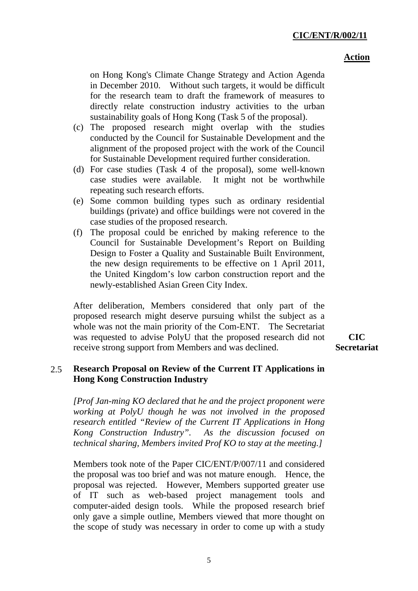on Hong Kong's Climate Change Strategy and Action Agenda in December 2010. Without such targets, it would be difficult for the research team to draft the framework of measures to directly relate construction industry activities to the urban sustainability goals of Hong Kong (Task 5 of the proposal).

- (c) The proposed research might overlap with the studies conducted by the Council for Sustainable Development and the alignment of the proposed project with the work of the Council for Sustainable Development required further consideration.
- (d) For case studies (Task 4 of the proposal), some well-known case studies were available. It might not be worthwhile repeating such research efforts.
- (e) Some common building types such as ordinary residential buildings (private) and office buildings were not covered in the case studies of the proposed research.
- (f) The proposal could be enriched by making reference to the Council for Sustainable Development's Report on Building Design to Foster a Quality and Sustainable Built Environment, the new design requirements to be effective on 1 April 2011, the United Kingdom's low carbon construction report and the newly-established Asian Green City Index.

After deliberation, Members considered that only part of the proposed research might deserve pursuing whilst the subject as a whole was not the main priority of the Com-ENT. The Secretariat was requested to advise PolyU that the proposed research did not receive strong support from Members and was declined.

**CIC Secretariat** 

## 2.5 **Research Proposal on Review of the Current IT Applications in Hong Kong Construction Industry**

*[Prof Jan-ming KO declared that he and the project proponent were working at PolyU though he was not involved in the proposed research entitled "Review of the Current IT Applications in Hong Kong Construction Industry". As the discussion focused on technical sharing, Members invited Prof KO to stay at the meeting.]* 

Members took note of the Paper CIC/ENT/P/007/11 and considered the proposal was too brief and was not mature enough. Hence, the proposal was rejected. However, Members supported greater use of IT such as web-based project management tools and computer-aided design tools. While the proposed research brief only gave a simple outline, Members viewed that more thought on the scope of study was necessary in order to come up with a study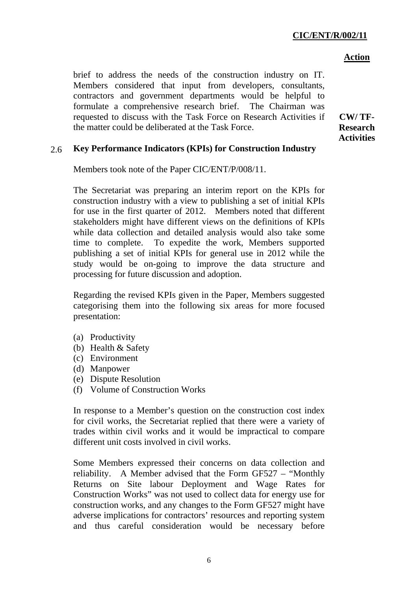brief to address the needs of the construction industry on IT. Members considered that input from developers, consultants, contractors and government departments would be helpful to formulate a comprehensive research brief. The Chairman was requested to discuss with the Task Force on Research Activities if the matter could be deliberated at the Task Force.

**CW/ TF-Research Activities** 

## 2.6 **Key Performance Indicators (KPIs) for Construction Industry**

Members took note of the Paper CIC/ENT/P/008/11.

The Secretariat was preparing an interim report on the KPIs for construction industry with a view to publishing a set of initial KPIs for use in the first quarter of 2012. Members noted that different stakeholders might have different views on the definitions of KPIs while data collection and detailed analysis would also take some time to complete. To expedite the work, Members supported publishing a set of initial KPIs for general use in 2012 while the study would be on-going to improve the data structure and processing for future discussion and adoption.

Regarding the revised KPIs given in the Paper, Members suggested categorising them into the following six areas for more focused presentation:

- (a) Productivity
- (b) Health & Safety
- (c) Environment
- (d) Manpower
- (e) Dispute Resolution
- (f) Volume of Construction Works

In response to a Member's question on the construction cost index for civil works, the Secretariat replied that there were a variety of trades within civil works and it would be impractical to compare different unit costs involved in civil works.

Some Members expressed their concerns on data collection and reliability. A Member advised that the Form GF527 – "Monthly Returns on Site labour Deployment and Wage Rates for Construction Works" was not used to collect data for energy use for construction works, and any changes to the Form GF527 might have adverse implications for contractors' resources and reporting system and thus careful consideration would be necessary before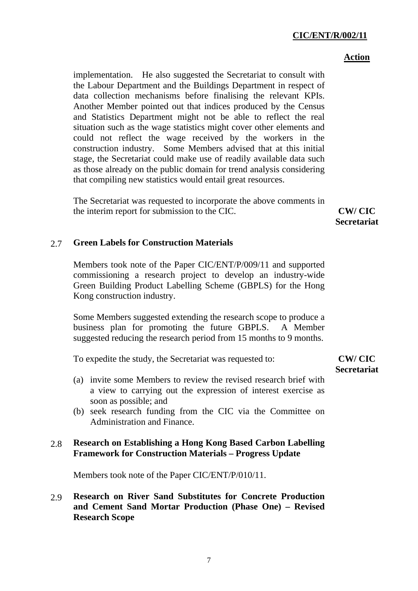## **CIC/ENT/R/002/11**

#### **Action**

implementation. He also suggested the Secretariat to consult with the Labour Department and the Buildings Department in respect of data collection mechanisms before finalising the relevant KPIs. Another Member pointed out that indices produced by the Census and Statistics Department might not be able to reflect the real situation such as the wage statistics might cover other elements and could not reflect the wage received by the workers in the construction industry. Some Members advised that at this initial stage, the Secretariat could make use of readily available data such as those already on the public domain for trend analysis considering that compiling new statistics would entail great resources.

The Secretariat was requested to incorporate the above comments in the interim report for submission to the CIC. **CW/ CIC** 

**Secretariat** 

### 2.7 **Green Labels for Construction Materials**

Members took note of the Paper CIC/ENT/P/009/11 and supported commissioning a research project to develop an industry-wide Green Building Product Labelling Scheme (GBPLS) for the Hong Kong construction industry.

Some Members suggested extending the research scope to produce a business plan for promoting the future GBPLS. A Member suggested reducing the research period from 15 months to 9 months.

To expedite the study, the Secretariat was requested to:

## **CW/ CIC Secretariat**

- (a) invite some Members to review the revised research brief with a view to carrying out the expression of interest exercise as soon as possible; and
- (b) seek research funding from the CIC via the Committee on Administration and Finance.

## 2.8 **Research on Establishing a Hong Kong Based Carbon Labelling Framework for Construction Materials – Progress Update**

Members took note of the Paper CIC/ENT/P/010/11.

# 2.9 **Research on River Sand Substitutes for Concrete Production and Cement Sand Mortar Production (Phase One) – Revised Research Scope**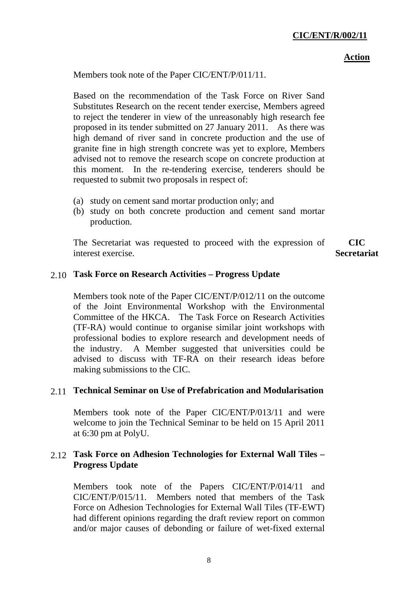Members took note of the Paper CIC/ENT/P/011/11.

Based on the recommendation of the Task Force on River Sand Substitutes Research on the recent tender exercise, Members agreed to reject the tenderer in view of the unreasonably high research fee proposed in its tender submitted on 27 January 2011. As there was high demand of river sand in concrete production and the use of granite fine in high strength concrete was yet to explore, Members advised not to remove the research scope on concrete production at this moment. In the re-tendering exercise, tenderers should be requested to submit two proposals in respect of:

- (a) study on cement sand mortar production only; and
- (b) study on both concrete production and cement sand mortar production.

The Secretariat was requested to proceed with the expression of interest exercise. **CIC Secretariat** 

# 2.10 **Task Force on Research Activities – Progress Update**

Members took note of the Paper CIC/ENT/P/012/11 on the outcome of the Joint Environmental Workshop with the Environmental Committee of the HKCA. The Task Force on Research Activities (TF-RA) would continue to organise similar joint workshops with professional bodies to explore research and development needs of the industry. A Member suggested that universities could be advised to discuss with TF-RA on their research ideas before making submissions to the CIC.

# 2.11 **Technical Seminar on Use of Prefabrication and Modularisation**

Members took note of the Paper CIC/ENT/P/013/11 and were welcome to join the Technical Seminar to be held on 15 April 2011 at 6:30 pm at PolyU.

## 2.12 **Task Force on Adhesion Technologies for External Wall Tiles – Progress Update**

Members took note of the Papers CIC/ENT/P/014/11 and CIC/ENT/P/015/11. Members noted that members of the Task Force on Adhesion Technologies for External Wall Tiles (TF-EWT) had different opinions regarding the draft review report on common and/or major causes of debonding or failure of wet-fixed external